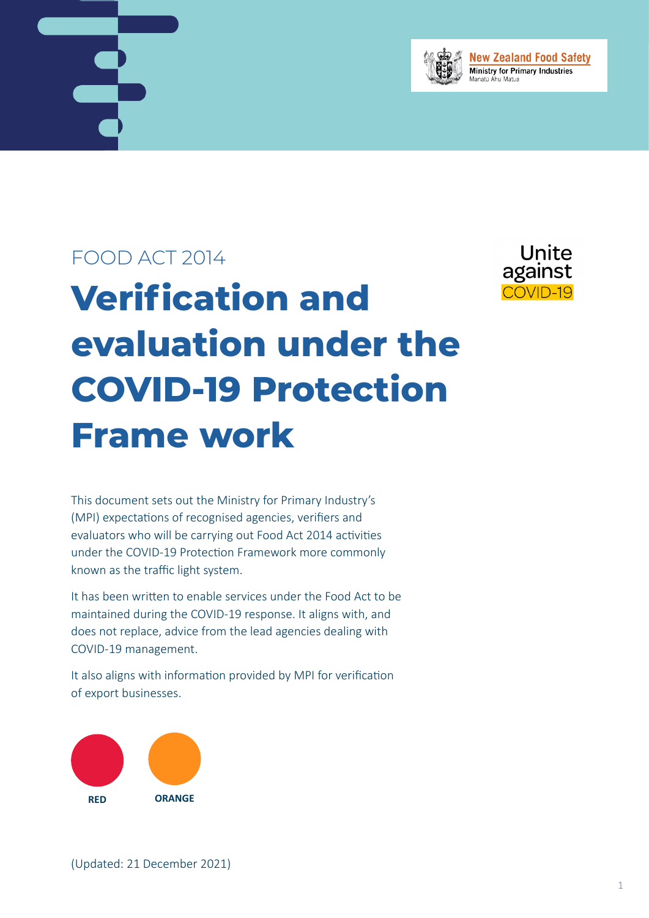



**New Zealand Food Safety Ministry for Primary Industries** 

## FOOD ACT 2014

# **Verification and evaluation under the COVID-19 Protection Frame work**



This document sets out the Ministry for Primary Industry's (MPI) expectations of recognised agencies, verifiers and evaluators who will be carrying out Food Act 2014 activities under the COVID-19 Protection Framework more commonly known as the traffic light system.

It has been written to enable services under the Food Act to be maintained during the COVID-19 response. It aligns with, and does not replace, advice from the lead agencies dealing with COVID-19 management.

It also aligns with information provided by MPI for verification of export businesses.

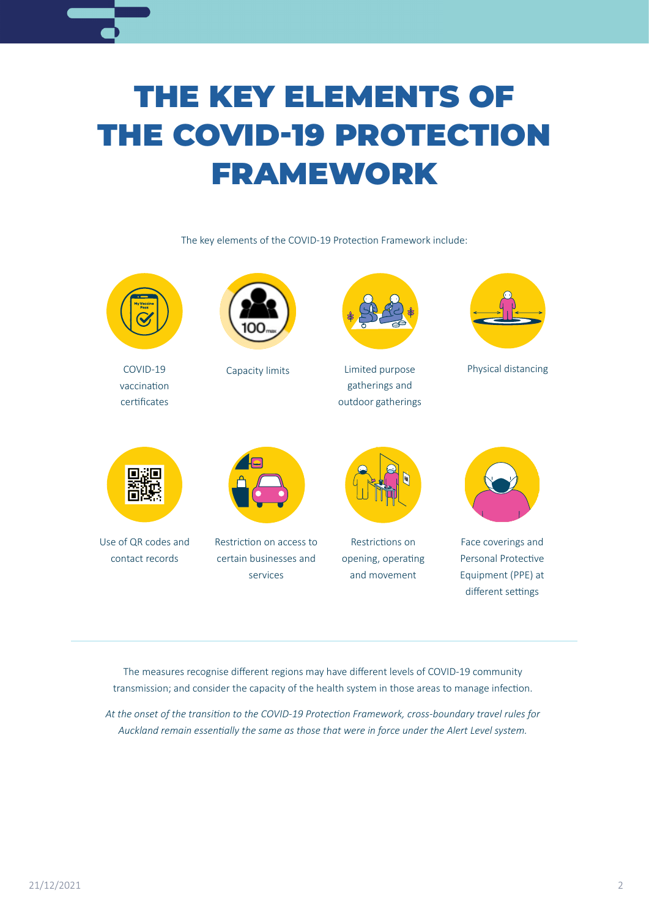## THE KEY ELEMENTS OF THE COVID-19 PROTECTION FRAMEWORK

The key elements of the COVID-19 Protection Framework include:



COVID-19 vaccination certificates



Capacity limits



Limited purpose Physical distancing gatherings and outdoor gatherings





Use of QR codes and contact records



Restriction on access to certain businesses and services



Restrictions on opening, operating and movement



Face coverings and Personal Protective Equipment (PPE) at different settings

The measures recognise different regions may have different levels of COVID-19 community transmission; and consider the capacity of the health system in those areas to manage infection.

*At the onset of the transition to the COVID-19 Protection Framework, cross-boundary travel rules for Auckland remain essentially the same as those that were in force under the Alert Level system.*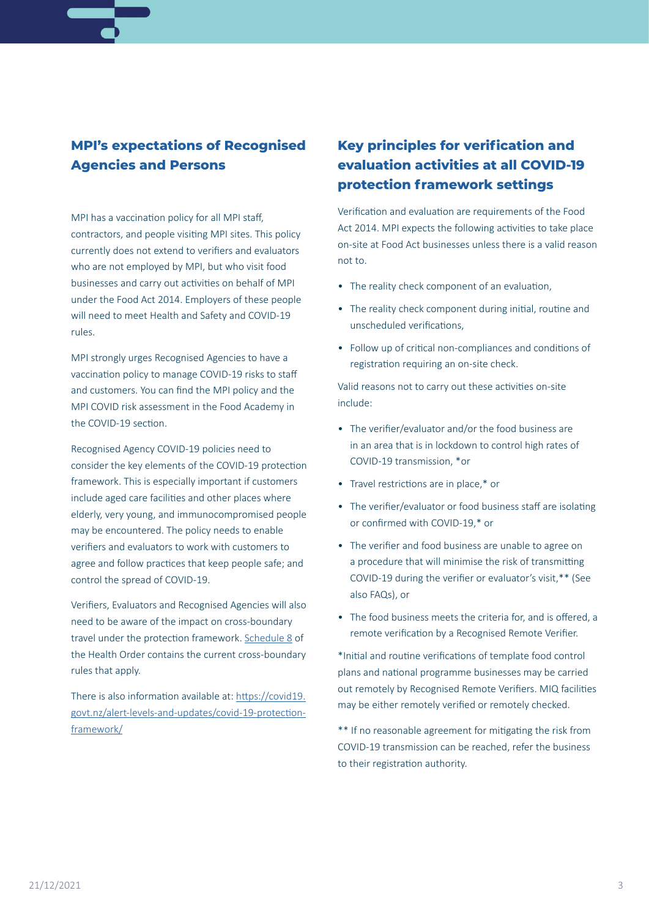### **MPI's expectations of Recognised Agencies and Persons**

MPI has a vaccination policy for all MPI staff, contractors, and people visiting MPI sites. This policy currently does not extend to verifiers and evaluators who are not employed by MPI, but who visit food businesses and carry out activities on behalf of MPI under the Food Act 2014. Employers of these people will need to meet Health and Safety and COVID-19 rules.

MPI strongly urges Recognised Agencies to have a vaccination policy to manage COVID-19 risks to staff and customers. You can find the MPI policy and the MPI COVID risk assessment in the Food Academy in the COVID-19 section.

Recognised Agency COVID-19 policies need to consider the key elements of the COVID-19 protection framework. This is especially important if customers include aged care facilities and other places where elderly, very young, and immunocompromised people may be encountered. The policy needs to enable verifiers and evaluators to work with customers to agree and follow practices that keep people safe; and control the spread of COVID-19.

Verifiers, Evaluators and Recognised Agencies will also need to be aware of the impact on cross-boundary travel under the protection framework. [Schedule 8](https://www.legislation.govt.nz/regulation/public/2021/0386/latest/whole.html#LMS566889) of the Health Order contains the current cross-boundary rules that apply.

There is also information available at: [https://covid19.](https://covid19.govt.nz/alert-levels-and-updates/covid-19-protection-framework/) [govt.nz/alert-levels-and-updates/covid-19-protection](https://covid19.govt.nz/alert-levels-and-updates/covid-19-protection-framework/)[framework/](https://covid19.govt.nz/alert-levels-and-updates/covid-19-protection-framework/)

## **Key principles for verification and evaluation activities at all COVID-19 protection framework settings**

Verification and evaluation are requirements of the Food Act 2014. MPI expects the following activities to take place on-site at Food Act businesses unless there is a valid reason not to.

- The reality check component of an evaluation,
- The reality check component during initial, routine and unscheduled verifications,
- Follow up of critical non-compliances and conditions of registration requiring an on-site check.

Valid reasons not to carry out these activities on-site include:

- The verifier/evaluator and/or the food business are in an area that is in lockdown to control high rates of COVID-19 transmission, \*or
- Travel restrictions are in place,\* or
- The verifier/evaluator or food business staff are isolating or confirmed with COVID-19,\* or
- The verifier and food business are unable to agree on a procedure that will minimise the risk of transmitting COVID-19 during the verifier or evaluator's visit,\*\* (See also FAQs), or
- The food business meets the criteria for, and is offered, a remote verification by a Recognised Remote Verifier.

\*Initial and routine verifications of template food control plans and national programme businesses may be carried out remotely by Recognised Remote Verifiers. MIQ facilities may be either remotely verified or remotely checked.

\*\* If no reasonable agreement for mitigating the risk from COVID-19 transmission can be reached, refer the business to their registration authority.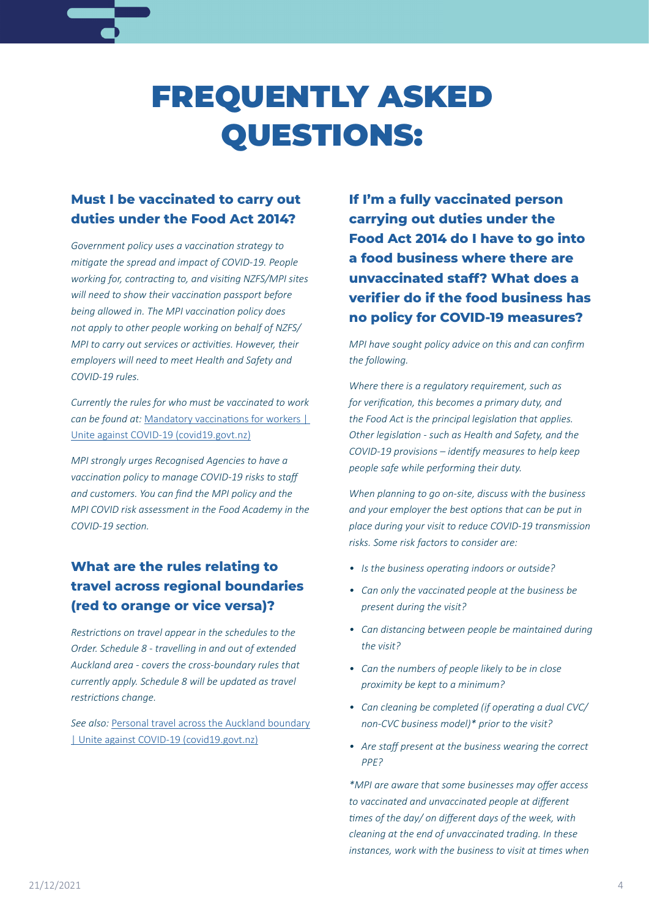## FREQUENTLY ASKED QUESTIONS:

## **Must I be vaccinated to carry out duties under the Food Act 2014?**

*Government policy uses a vaccination strategy to mitigate the spread and impact of COVID-19. People working for, contracting to, and visiting NZFS/MPI sites will need to show their vaccination passport before being allowed in. The MPI vaccination policy does not apply to other people working on behalf of NZFS/ MPI to carry out services or activities. However, their employers will need to meet Health and Safety and COVID-19 rules.*

*Currently the rules for who must be vaccinated to work can be found at:* [Mandatory vaccinations for workers |](https://covid19.govt.nz/covid-19-vaccines/vaccinations-and-work/mandatory-vaccinations-for-workers/)  [Unite against COVID-19 \(covid19.govt.nz\)](https://covid19.govt.nz/covid-19-vaccines/vaccinations-and-work/mandatory-vaccinations-for-workers/)

*MPI strongly urges Recognised Agencies to have a vaccination policy to manage COVID-19 risks to staff and customers. You can find the MPI policy and the MPI COVID risk assessment in the Food Academy in the COVID-19 section.*

## **What are the rules relating to travel across regional boundaries (red to orange or vice versa)?**

*Restrictions on travel appear in the schedules to the Order. Schedule 8 - travelling in and out of extended Auckland area - covers the cross-boundary rules that currently apply. Schedule 8 will be updated as travel restrictions change.*

*See also:* [Personal travel across the Auckland boundary](https://covid19.govt.nz/travel/travel-advice-for-auckland/personal-travel-across-the-auckland-boundary/) [| Unite against COVID-19 \(covid19.govt.nz\)](https://covid19.govt.nz/travel/travel-advice-for-auckland/personal-travel-across-the-auckland-boundary/)

**If I'm a fully vaccinated person carrying out duties under the Food Act 2014 do I have to go into a food business where there are unvaccinated staff? What does a verifier do if the food business has no policy for COVID-19 measures?**

*MPI have sought policy advice on this and can confirm the following.*

*Where there is a regulatory requirement, such as for verification, this becomes a primary duty, and the Food Act is the principal legislation that applies. Other legislation - such as Health and Safety, and the COVID-19 provisions – identify measures to help keep people safe while performing their duty.*

*When planning to go on-site, discuss with the business and your employer the best options that can be put in place during your visit to reduce COVID-19 transmission risks. Some risk factors to consider are:*

- *• Is the business operating indoors or outside?*
- *• Can only the vaccinated people at the business be present during the visit?*
- *• Can distancing between people be maintained during the visit?*
- *• Can the numbers of people likely to be in close proximity be kept to a minimum?*
- *• Can cleaning be completed (if operating a dual CVC/ non-CVC business model)\* prior to the visit?*
- *• Are staff present at the business wearing the correct PPE?*

*\*MPI are aware that some businesses may offer access to vaccinated and unvaccinated people at different times of the day/ on different days of the week, with cleaning at the end of unvaccinated trading. In these instances, work with the business to visit at times when*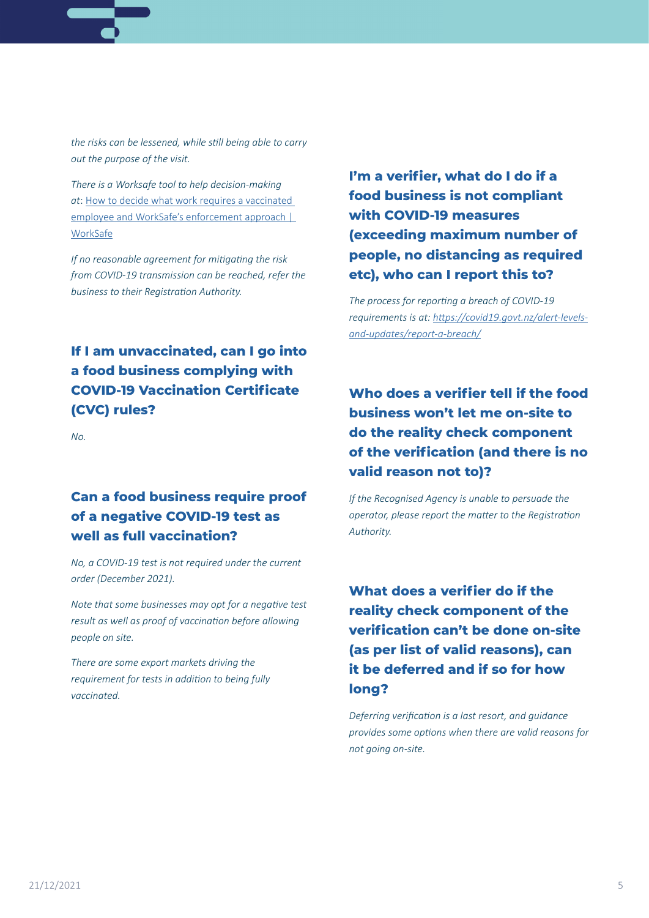

*There is a Worksafe tool to help decision-making at*: [How to decide what work requires a vaccinated](https://www.worksafe.govt.nz/managing-health-and-safety/novel-coronavirus-covid/how-to-decide-what-work-requires-a-vaccinated-employee/)  [employee and WorkSafe's enforcement approach |](https://www.worksafe.govt.nz/managing-health-and-safety/novel-coronavirus-covid/how-to-decide-what-work-requires-a-vaccinated-employee/)  [WorkSafe](https://www.worksafe.govt.nz/managing-health-and-safety/novel-coronavirus-covid/how-to-decide-what-work-requires-a-vaccinated-employee/)

*If no reasonable agreement for mitigating the risk from COVID-19 transmission can be reached, refer the business to their Registration Authority.*

## **If I am unvaccinated, can I go into a food business complying with COVID-19 Vaccination Certificate (CVC) rules?**

*No.*

## **Can a food business require proof of a negative COVID-19 test as well as full vaccination?**

*No, a COVID-19 test is not required under the current order (December 2021).*

*Note that some businesses may opt for a negative test result as well as proof of vaccination before allowing people on site.*

*There are some export markets driving the requirement for tests in addition to being fully vaccinated.*

## **I'm a verifier, what do I do if a food business is not compliant with COVID-19 measures (exceeding maximum number of people, no distancing as required etc), who can I report this to?**

*The process for reporting a breach of COVID-19 requirements is at: [https://covid19.govt.nz/alert-levels](https://covid19.govt.nz/alert-levels-and-updates/report-a-breach/)[and-updates/report-a-breach/](https://covid19.govt.nz/alert-levels-and-updates/report-a-breach/)*

## **Who does a verifier tell if the food business won't let me on-site to do the reality check component of the verification (and there is no valid reason not to)?**

*If the Recognised Agency is unable to persuade the operator, please report the matter to the Registration Authority.*

## **What does a verifier do if the reality check component of the verification can't be done on-site (as per list of valid reasons), can it be deferred and if so for how long?**

*Deferring verification is a last resort, and guidance provides some options when there are valid reasons for not going on-site.*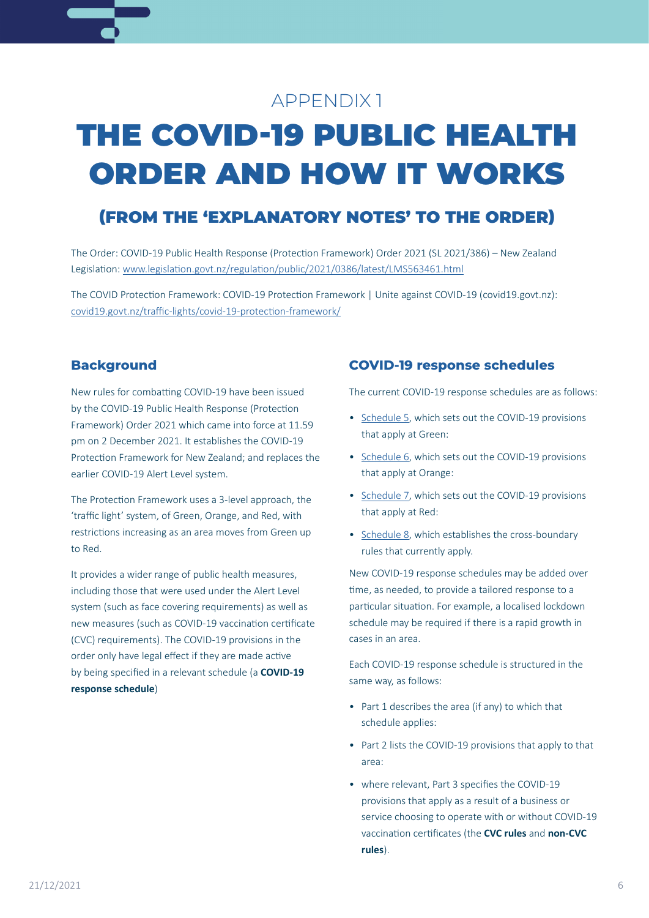## APPENDIX 1

## THE COVID-19 PUBLIC HEALTH ORDER AND HOW IT WORKS

## (FROM THE 'EXPLANATORY NOTES' TO THE ORDER)

The Order: COVID-19 Public Health Response (Protection Framework) Order 2021 (SL 2021/386) – New Zealand Legislation: [www.legislation.govt.nz/regulation/public/2021/0386/latest/LMS563461.html](https://www.legislation.govt.nz/regulation/public/2021/0386/latest/LMS563461.html)

The COVID Protection Framework: COVID-19 Protection Framework | Unite against COVID-19 (covid19.govt.nz): [covid19.govt.nz/traffic-lights/covid-19-protection-framework/](https://covid19.govt.nz/traffic-lights/covid-19-protection-framework/)

### **Background**

New rules for combatting COVID-19 have been issued by the COVID-19 Public Health Response (Protection Framework) Order 2021 which came into force at 11.59 pm on 2 December 2021. It establishes the COVID-19 Protection Framework for New Zealand; and replaces the earlier COVID-19 Alert Level system.

The Protection Framework uses a 3-level approach, the 'traffic light' system, of Green, Orange, and Red, with restrictions increasing as an area moves from Green up to Red.

It provides a wider range of public health measures, including those that were used under the Alert Level system (such as face covering requirements) as well as new measures (such as COVID-19 vaccination certificate (CVC) requirements). The COVID-19 provisions in the order only have legal effect if they are made active by being specified in a relevant schedule (a **COVID-19 response schedule**)

### **COVID-19 response schedules**

The current COVID-19 response schedules are as follows:

- [Schedule 5](https://www.legislation.govt.nz/regulation/public/2021/0386/latest/whole.html#LMS566881), which sets out the COVID-19 provisions that apply at Green:
- [Schedule 6](https://www.legislation.govt.nz/regulation/public/2021/0386/latest/whole.html#LMS570864), which sets out the COVID-19 provisions that apply at Orange:
- [Schedule 7](https://www.legislation.govt.nz/regulation/public/2021/0386/latest/whole.html#LMS602390), which sets out the COVID-19 provisions that apply at Red:
- [Schedule 8](https://www.legislation.govt.nz/regulation/public/2021/0386/latest/whole.html#LMS566889), which establishes the cross-boundary rules that currently apply.

New COVID-19 response schedules may be added over time, as needed, to provide a tailored response to a particular situation. For example, a localised lockdown schedule may be required if there is a rapid growth in cases in an area.

Each COVID-19 response schedule is structured in the same way, as follows:

- Part 1 describes the area (if any) to which that schedule applies:
- Part 2 lists the COVID-19 provisions that apply to that area:
- where relevant, Part 3 specifies the COVID-19 provisions that apply as a result of a business or service choosing to operate with or without COVID-19 vaccination certificates (the **CVC rules** and **non-CVC rules**).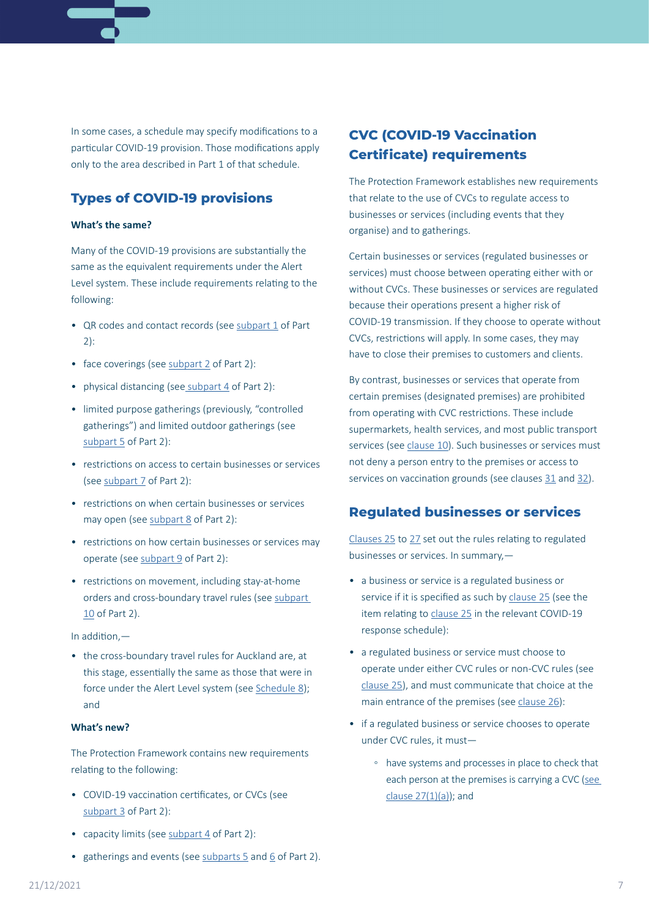In some cases, a schedule may specify modifications to a particular COVID-19 provision. Those modifications apply only to the area described in Part 1 of that schedule.

### **Types of COVID-19 provisions**

#### **What's the same?**

Many of the COVID-19 provisions are substantially the same as the equivalent requirements under the Alert Level system. These include requirements relating to the following:

- QR codes and contact records (see [subpart 1](https://www.legislation.govt.nz/regulation/public/2021/0386/latest/whole.html#LMS571993) of Part 2):
- face coverings (see [subpart 2](https://www.legislation.govt.nz/regulation/public/2021/0386/latest/whole.html#LMS570503) of Part 2):
- physical distancing (see [subpart 4](https://www.legislation.govt.nz/regulation/public/2021/0386/latest/whole.html#LMS570504) of Part 2):
- limited purpose gatherings (previously, "controlled gatherings") and limited outdoor gatherings (see [subpart 5](https://www.legislation.govt.nz/regulation/public/2021/0386/latest/whole.html#LMS567638) of Part 2):
- restrictions on access to certain businesses or services (see [subpart 7](https://www.legislation.govt.nz/regulation/public/2021/0386/latest/whole.html#LMS596267) of Part 2):
- restrictions on when certain businesses or services may open (see [subpart 8](https://www.legislation.govt.nz/regulation/public/2021/0386/latest/whole.html#LMS596269) of Part 2):
- restrictions on how certain businesses or services may operate (see [subpart 9](https://www.legislation.govt.nz/regulation/public/2021/0386/latest/whole.html#LMS570537) of Part 2):
- restrictions on movement, including stay-at-home orders and cross-boundary travel rules (see [subpart](https://www.legislation.govt.nz/regulation/public/2021/0386/latest/whole.html#LMS566708)  [10](https://www.legislation.govt.nz/regulation/public/2021/0386/latest/whole.html#LMS566708) of Part 2).

#### In addition,—

• the cross-boundary travel rules for Auckland are, at this stage, essentially the same as those that were in force under the Alert Level system (see [Schedule 8](https://www.legislation.govt.nz/regulation/public/2021/0386/latest/whole.html#LMS566889)); and

#### **What's new?**

The Protection Framework contains new requirements relating to the following:

- COVID-19 vaccination certificates, or CVCs (see [subpart 3](https://www.legislation.govt.nz/regulation/public/2021/0386/latest/whole.html#LMS570513) of Part 2):
- capacity limits (see [subpart 4](https://www.legislation.govt.nz/regulation/public/2021/0386/latest/whole.html#LMS570504) of Part 2):
- gatherings and events (see [subparts 5](https://www.legislation.govt.nz/regulation/public/2021/0386/latest/whole.html#LMS567638) and [6](https://www.legislation.govt.nz/regulation/public/2021/0386/latest/whole.html#LMS601594) of Part 2).

## **CVC (COVID-19 Vaccination Certificate) requirements**

The Protection Framework establishes new requirements that relate to the use of CVCs to regulate access to businesses or services (including events that they organise) and to gatherings.

Certain businesses or services (regulated businesses or services) must choose between operating either with or without CVCs. These businesses or services are regulated because their operations present a higher risk of COVID-19 transmission. If they choose to operate without CVCs, restrictions will apply. In some cases, they may have to close their premises to customers and clients.

By contrast, businesses or services that operate from certain premises (designated premises) are prohibited from operating with CVC restrictions. These include supermarkets, health services, and most public transport services (see [clause 10](https://www.legislation.govt.nz/regulation/public/2021/0386/latest/whole.html#LMS607377)). Such businesses or services must not deny a person entry to the premises or access to services on vaccination grounds (see clauses [31](https://www.legislation.govt.nz/regulation/public/2021/0386/latest/whole.html#LMS579542) and [32](https://www.legislation.govt.nz/regulation/public/2021/0386/latest/whole.html#LMS582363)).

### **Regulated businesses or services**

[Clauses 25](https://www.legislation.govt.nz/regulation/public/2021/0386/latest/whole.html#LMS600748) to [27](https://www.legislation.govt.nz/regulation/public/2021/0386/latest/whole.html#LMS582376) set out the rules relating to regulated businesses or services. In summary,—

- a business or service is a regulated business or service if it is specified as such by [clause 25](https://www.legislation.govt.nz/regulation/public/2021/0386/latest/whole.html#LMS600748) (see the item relating to [clause 25](https://www.legislation.govt.nz/regulation/public/2021/0386/latest/whole.html#LMS600748) in the relevant COVID-19 response schedule):
- a regulated business or service must choose to operate under either CVC rules or non-CVC rules (see [clause 25](https://www.legislation.govt.nz/regulation/public/2021/0386/latest/whole.html#LMS600748)), and must communicate that choice at the main entrance of the premises (see [clause 26](https://www.legislation.govt.nz/regulation/public/2021/0386/latest/whole.html#LMS595885)):
- if a regulated business or service chooses to operate under CVC rules, it must—
	- have systems and processes in place to check that each person at the premises is carrying a CVC (see [clause 27\(1\)\(a\)](https://www.legislation.govt.nz/regulation/public/2021/0386/latest/whole.html#LMS582376)); and